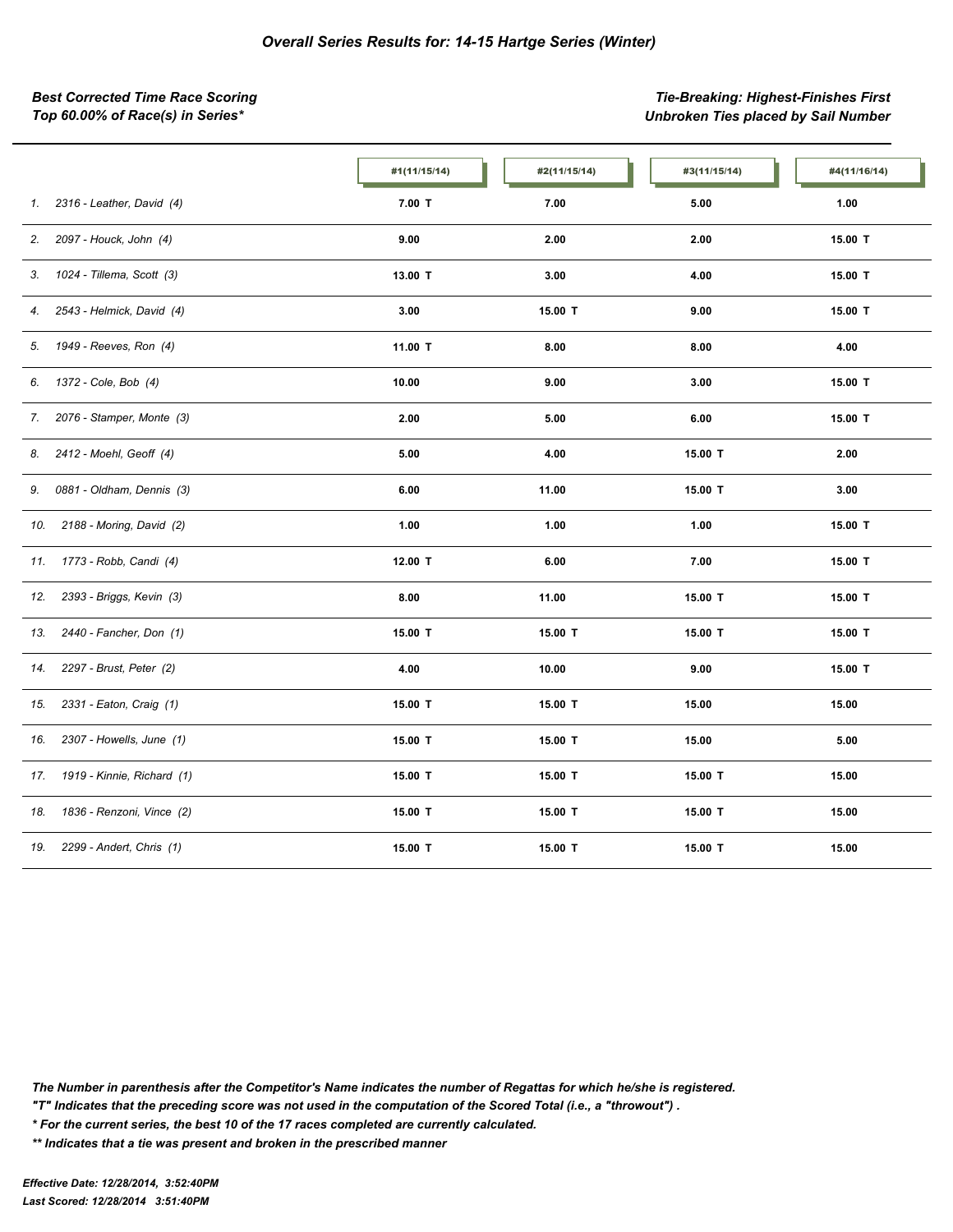*Best Corrected Time Race Scoring Tie-Breaking: Highest-Finishes First Top 60.00% of Race(s) in Series\* Unbroken Ties placed by Sail Number*

|                                   | #1(11/15/14) | #2(11/15/14) | #3(11/15/14) | #4(11/16/14) |
|-----------------------------------|--------------|--------------|--------------|--------------|
| 2316 - Leather, David (4)<br>1.   | $7.00$ T     | 7.00         | 5.00         | 1.00         |
| 2097 - Houck, John (4)<br>2.      | 9.00         | 2.00         | 2.00         | 15.00 T      |
| 1024 - Tillema, Scott (3)<br>3.   | 13.00 T      | 3.00         | 4.00         | 15.00 T      |
| 2543 - Helmick, David (4)<br>4.   | 3.00         | 15.00 T      | 9.00         | 15.00 T      |
| 1949 - Reeves, Ron (4)<br>5.      | 11.00 T      | 8.00         | 8.00         | 4.00         |
| 1372 - Cole, Bob (4)<br>6.        | 10.00        | 9.00         | 3.00         | 15.00 T      |
| 2076 - Stamper, Monte (3)<br>7.   | 2.00         | 5.00         | 6.00         | 15.00 T      |
| 2412 - Moehl, Geoff (4)<br>8.     | 5.00         | 4.00         | 15.00 T      | 2.00         |
| 0881 - Oldham, Dennis (3)<br>9.   | 6.00         | 11.00        | 15.00 T      | 3.00         |
| 2188 - Moring, David (2)<br>10.   | 1.00         | 1.00         | 1.00         | 15.00 T      |
| 1773 - Robb, Candi (4)<br>11.     | 12.00 T      | 6.00         | 7.00         | 15.00 T      |
| 2393 - Briggs, Kevin (3)<br>12.   | 8.00         | 11.00        | 15.00 T      | 15.00 T      |
| 2440 - Fancher, Don (1)<br>13.    | 15.00 T      | 15.00 T      | 15.00 T      | 15.00 T      |
| 2297 - Brust, Peter (2)<br>14.    | 4.00         | 10.00        | 9.00         | 15.00 T      |
| 2331 - Eaton, Craig (1)<br>15.    | 15.00 T      | 15.00 T      | 15.00        | 15.00        |
| 2307 - Howells, June (1)<br>16.   | 15.00 T      | 15.00 T      | 15.00        | 5.00         |
| 1919 - Kinnie, Richard (1)<br>17. | 15.00 T      | 15.00 T      | 15.00 T      | 15.00        |
| 1836 - Renzoni, Vince (2)<br>18.  | 15.00 T      | 15.00 T      | 15.00 T      | 15.00        |
| 2299 - Andert, Chris (1)<br>19.   | 15.00 T      | 15.00 T      | 15.00 T      | 15.00        |

*The Number in parenthesis after the Competitor's Name indicates the number of Regattas for which he/she is registered.*

*"T" Indicates that the preceding score was not used in the computation of the Scored Total (i.e., a "throwout") .*

*\* For the current series, the best 10 of the 17 races completed are currently calculated.*

*\*\* Indicates that a tie was present and broken in the prescribed manner*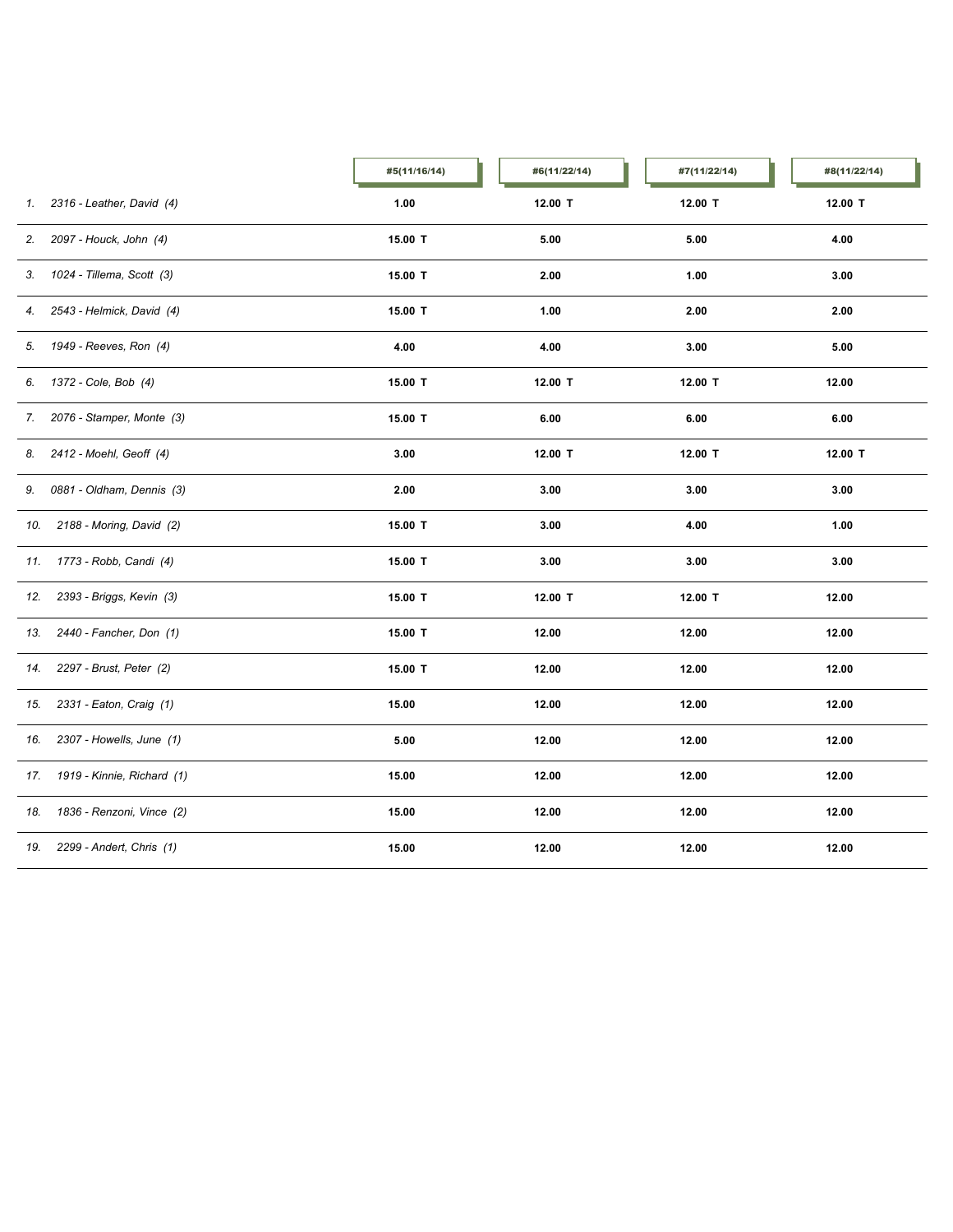|     |                              | #5(11/16/14) | #6(11/22/14) | #7(11/22/14) | #8(11/22/14) |
|-----|------------------------------|--------------|--------------|--------------|--------------|
|     | 1. 2316 - Leather, David (4) | 1.00         | 12.00 T      | 12.00 T      | 12.00 T      |
|     | 2. 2097 - Houck, John (4)    | 15.00 T      | 5.00         | 5.00         | 4.00         |
|     | 3. 1024 - Tillema, Scott (3) | 15.00 T      | 2.00         | 1.00         | 3.00         |
| 4.  | 2543 - Helmick, David (4)    | 15.00 T      | 1.00         | 2.00         | 2.00         |
|     | 5. 1949 - Reeves, Ron (4)    | 4.00         | 4.00         | 3.00         | 5.00         |
|     | 6. 1372 - Cole, Bob (4)      | 15.00 T      | 12.00 T      | 12.00 T      | 12.00        |
|     | 7. 2076 - Stamper, Monte (3) | 15.00 T      | 6.00         | 6.00         | 6.00         |
| 8.  | 2412 - Moehl, Geoff (4)      | 3.00         | 12.00 T      | 12.00 T      | 12.00 T      |
| 9.  | 0881 - Oldham, Dennis (3)    | 2.00         | 3.00         | 3.00         | 3.00         |
| 10. | 2188 - Moring, David (2)     | 15.00 T      | 3.00         | 4.00         | 1.00         |
|     | 11. 1773 - Robb, Candi (4)   | 15.00 T      | 3.00         | 3.00         | 3.00         |
|     | 12. 2393 - Briggs, Kevin (3) | 15.00 T      | 12.00 T      | 12.00 T      | 12.00        |
| 13. | 2440 - Fancher, Don (1)      | 15.00 T      | 12.00        | 12.00        | 12.00        |
|     | 14. 2297 - Brust, Peter (2)  | 15.00 T      | 12.00        | 12.00        | 12.00        |
| 15. | 2331 - Eaton, Craig (1)      | 15.00        | 12.00        | 12.00        | 12.00        |
|     | 16. 2307 - Howells, June (1) | 5.00         | 12.00        | 12.00        | 12.00        |
| 17. | 1919 - Kinnie, Richard (1)   | 15.00        | 12.00        | 12.00        | 12.00        |
| 18. | 1836 - Renzoni, Vince (2)    | 15.00        | 12.00        | 12.00        | 12.00        |
| 19. | 2299 - Andert, Chris (1)     | 15.00        | 12.00        | 12.00        | 12.00        |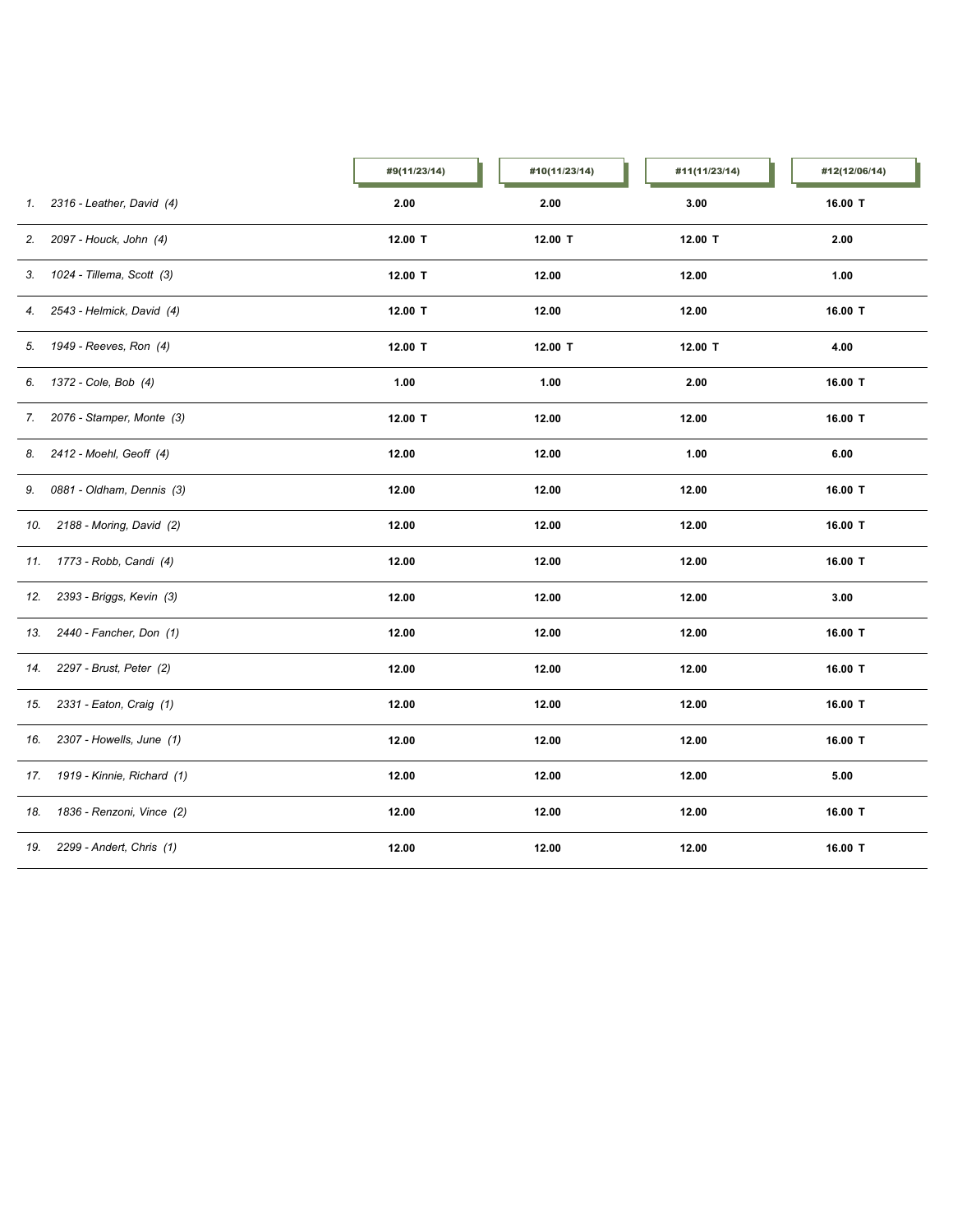|     |                              | #9(11/23/14) | #10(11/23/14) | #11(11/23/14) | #12(12/06/14) |
|-----|------------------------------|--------------|---------------|---------------|---------------|
|     | 1. 2316 - Leather, David (4) | 2.00         | 2.00          | 3.00          | 16.00 T       |
| 2.  | 2097 - Houck, John (4)       | 12.00 T      | 12.00 T       | 12.00 T       | 2.00          |
|     | 3. 1024 - Tillema, Scott (3) | 12.00 T      | 12.00         | 12.00         | 1.00          |
| 4.  | 2543 - Helmick, David (4)    | 12.00 T      | 12.00         | 12.00         | 16.00 T       |
|     | 5. 1949 - Reeves, Ron (4)    | 12.00 T      | 12.00 T       | 12.00 T       | 4.00          |
|     | 6. 1372 - Cole, Bob (4)      | 1.00         | 1.00          | 2.00          | 16.00 T       |
| 7.  | 2076 - Stamper, Monte (3)    | 12.00 T      | 12.00         | 12.00         | 16.00 T       |
| 8.  | 2412 - Moehl, Geoff (4)      | 12.00        | 12.00         | 1.00          | 6.00          |
| 9.  | 0881 - Oldham, Dennis (3)    | 12.00        | 12.00         | 12.00         | 16.00 T       |
| 10. | 2188 - Moring, David (2)     | 12.00        | 12.00         | 12.00         | 16.00 T       |
|     | 11. 1773 - Robb, Candi (4)   | 12.00        | 12.00         | 12.00         | 16.00 T       |
| 12. | 2393 - Briggs, Kevin (3)     | 12.00        | 12.00         | 12.00         | 3.00          |
| 13. | 2440 - Fancher, Don (1)      | 12.00        | 12.00         | 12.00         | 16.00 T       |
| 14. | 2297 - Brust, Peter (2)      | 12.00        | 12.00         | 12.00         | 16.00 T       |
| 15. | 2331 - Eaton, Craig (1)      | 12.00        | 12.00         | 12.00         | 16.00 T       |
|     | 16. 2307 - Howells, June (1) | 12.00        | 12.00         | 12.00         | 16.00 T       |
| 17. | 1919 - Kinnie, Richard (1)   | 12.00        | 12.00         | 12.00         | 5.00          |
| 18. | 1836 - Renzoni, Vince (2)    | 12.00        | 12.00         | 12.00         | 16.00 T       |
| 19. | 2299 - Andert, Chris (1)     | 12.00        | 12.00         | 12.00         | 16.00 T       |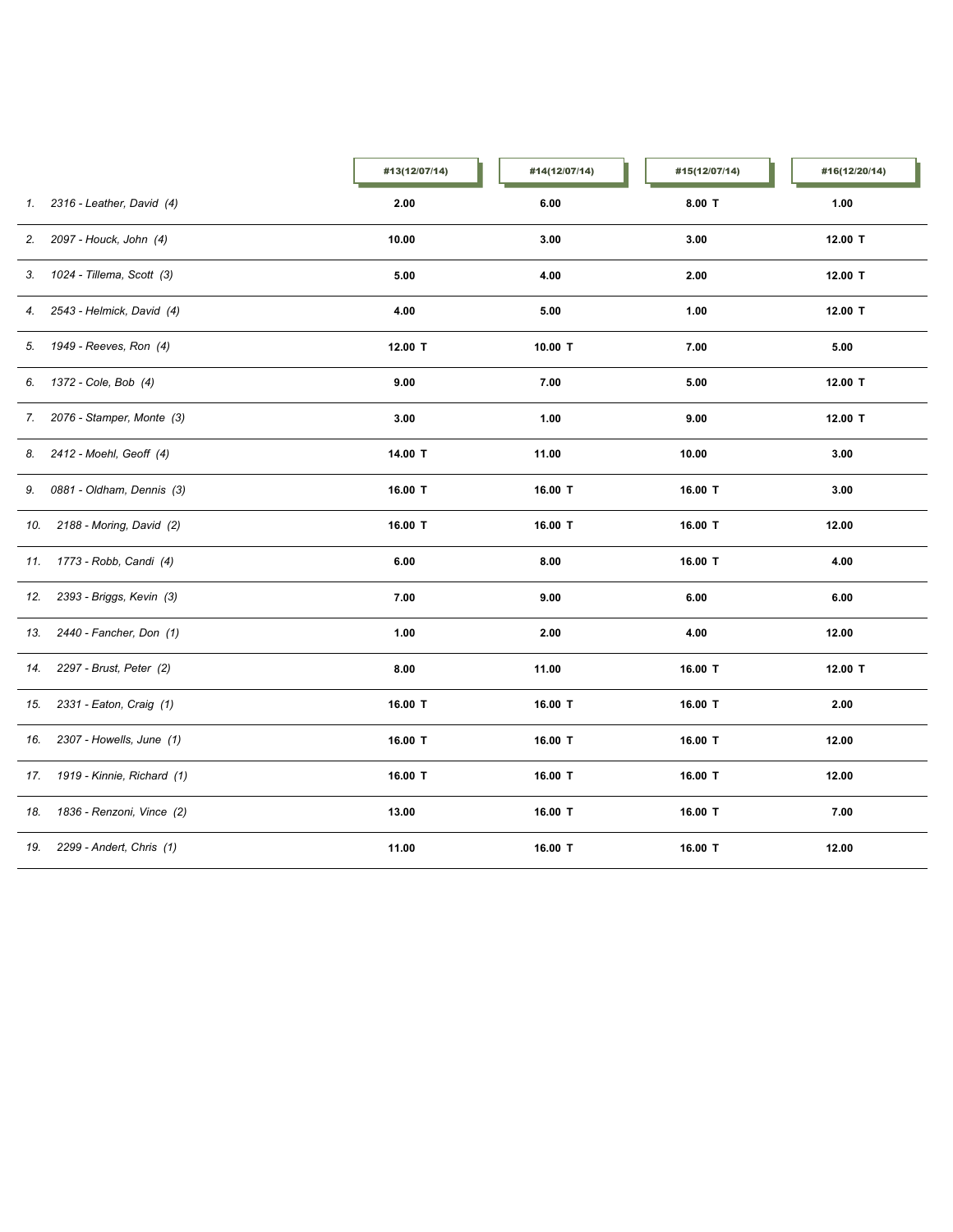|     |                              | #13(12/07/14) | #14(12/07/14) | #15(12/07/14) | #16(12/20/14) |  |
|-----|------------------------------|---------------|---------------|---------------|---------------|--|
|     | 1. 2316 - Leather, David (4) | 2.00          | 6.00          | $8.00$ T      | 1.00          |  |
| 2.  | 2097 - Houck, John (4)       | 10.00         | 3.00          | 3.00          | 12.00 T       |  |
|     | 3. 1024 - Tillema, Scott (3) | 5.00          | 4.00          | 2.00          | 12.00 T       |  |
| 4.  | 2543 - Helmick, David (4)    | 4.00          | 5.00          | 1.00          | 12.00 T       |  |
|     | 5. 1949 - Reeves, Ron (4)    | 12.00 T       | 10.00 T       | 7.00          | 5.00          |  |
|     | 6. 1372 - Cole, Bob (4)      | 9.00          | 7.00          | 5.00          | 12.00 T       |  |
| 7.  | 2076 - Stamper, Monte (3)    | 3.00          | 1.00          | 9.00          | 12.00 T       |  |
| 8.  | 2412 - Moehl, Geoff (4)      | 14.00 T       | 11.00         | 10.00         | 3.00          |  |
| 9.  | 0881 - Oldham, Dennis (3)    | 16.00 T       | 16.00 T       | 16.00 T       | 3.00          |  |
| 10. | 2188 - Moring, David (2)     | 16.00 T       | 16.00 T       | 16.00 T       | 12.00         |  |
|     | 11. 1773 - Robb, Candi (4)   | 6.00          | 8.00          | 16.00 T       | 4.00          |  |
| 12. | 2393 - Briggs, Kevin (3)     | 7.00          | 9.00          | 6.00          | 6.00          |  |
| 13. | 2440 - Fancher, Don (1)      | 1.00          | 2.00          | 4.00          | 12.00         |  |
| 14. | 2297 - Brust, Peter (2)      | 8.00          | 11.00         | 16.00 T       | 12.00 T       |  |
| 15. | 2331 - Eaton, Craig (1)      | 16.00 T       | 16.00 T       | 16.00 T       | 2.00          |  |
| 16. | 2307 - Howells, June (1)     | 16.00 T       | 16.00 T       | 16.00 T       | 12.00         |  |
| 17. | 1919 - Kinnie, Richard (1)   | 16.00 T       | 16.00 T       | 16.00 T       | 12.00         |  |
| 18. | 1836 - Renzoni, Vince (2)    | 13.00         | 16.00 T       | 16.00 T       | 7.00          |  |
| 19. | 2299 - Andert, Chris (1)     | 11.00         | 16.00 T       | 16.00 T       | 12.00         |  |